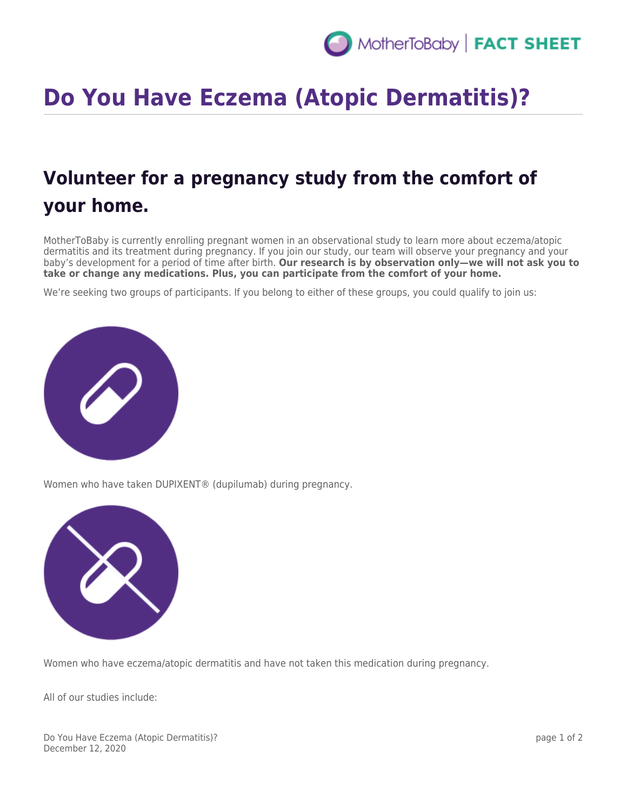## **Do You Have Eczema (Atopic Dermatitis)?**

## **Volunteer for a pregnancy study from the comfort of your home.**

MotherToBaby is currently enrolling pregnant women in an observational study to learn more about eczema/atopic dermatitis and its treatment during pregnancy. If you join our study, our team will observe your pregnancy and your baby's development for a period of time after birth. **Our research is by observation only—we will not ask you to take or change any medications. Plus, you can participate from the comfort of your home.**

We're seeking two groups of participants. If you belong to either of these groups, you could qualify to join us:



Women who have taken DUPIXENT® (dupilumab) during pregnancy.



Women who have eczema/atopic dermatitis and have not taken this medication during pregnancy.

All of our studies include:

Do You Have Eczema (Atopic Dermatitis)? December 12, 2020